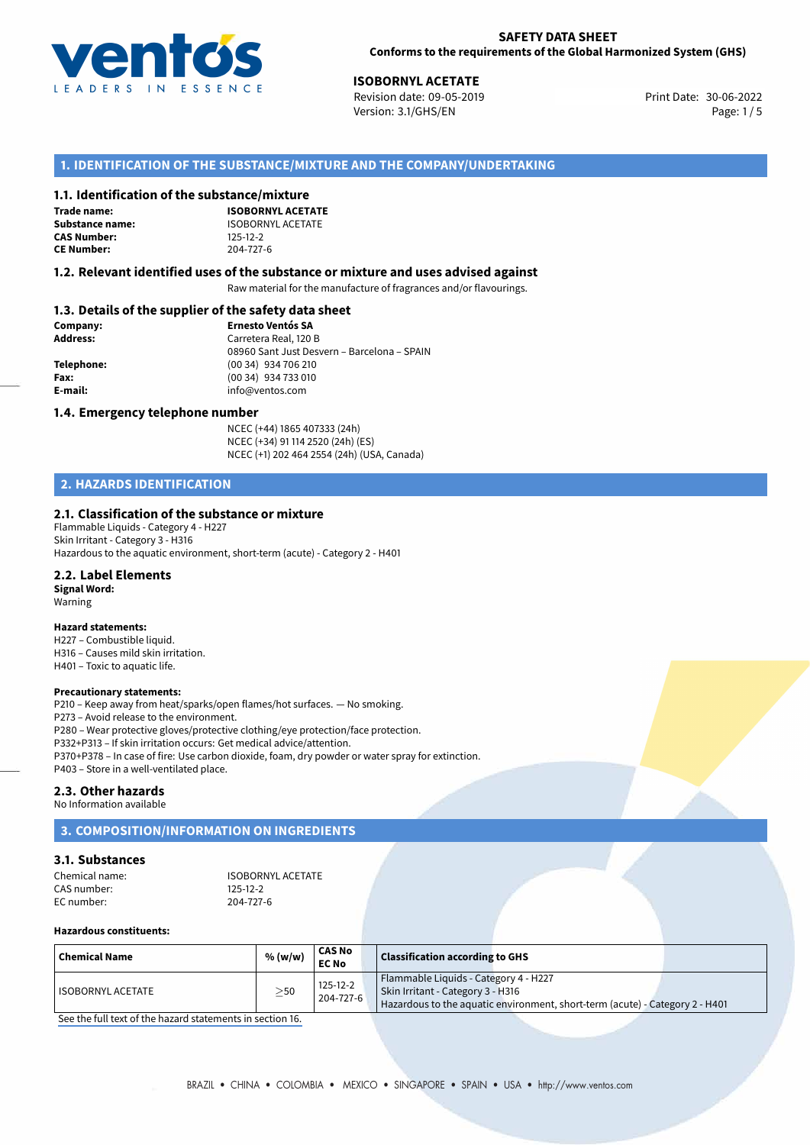

30-06-2022 **ISOBORNYL ACETATE** Revision date: 09-05-2019 Print Date: Version: 3.1/GHS/EN Page: 1 / 5

# **1. IDENTIFICATION OF THE SUBSTANCE/MIXTURE AND THE COMPANY/UNDERTAKING**

## **1.1. Identification of the substance/mixture**

**Trade name: CAS Number: CE Number:** 204-727-6

**ISOBORNYL ACETATE Substance name:** ISOBORNYL ACETATE<br> **CAS Number:** 125-12-2

## **1.2. Relevant identified uses of the substance or mixture and uses advised against**

Raw material for the manufacture of fragrances and/or flavourings.

# **1.3. Details of the supplier of the safety data sheet**

| Company:        | <b>Ernesto Ventós SA</b>                    |
|-----------------|---------------------------------------------|
| <b>Address:</b> | Carretera Real, 120 B                       |
|                 | 08960 Sant Just Desvern - Barcelona - SPAIN |
| Telephone:      | (00 34) 934 706 210                         |
| Fax:            | (00 34) 934 733 010                         |
| E-mail:         | info@ventos.com                             |
|                 |                                             |

#### **1.4. Emergency telephone number**

NCEC (+44) 1865 407333 (24h) NCEC (+34) 91 114 2520 (24h) (ES) NCEC (+1) 202 464 2554 (24h) (USA, Canada)

# **2. HAZARDS IDENTIFICATION**

## **2.1. Classification of the substance or mixture**

Flammable Liquids - Category 4 - H227 Skin Irritant - Category 3 - H316 Hazardous to the aquatic environment, short-term (acute) - Category 2 - H401

#### **2.2. Label Elements**

**Signal Word:** Warning

#### **Hazard statements:**

H227 – Combustible liquid. H316 – Causes mild skin irritation. H401 – Toxic to aquatic life.

#### **Precautionary statements:**

P210 – Keep away from heat/sparks/open flames/hot surfaces. — No smoking. P273 – Avoid release to the environment. P280 – Wear protective gloves/protective clothing/eye protection/face protection. P332+P313 – If skin irritation occurs: Get medical advice/attention. P370+P378 – In case of fire: Use carbon dioxide, foam, dry powder or water spray for extinction. P403 – Store in a well-ventilated place.

## **2.3. Other hazards**

No Information available

# **3. COMPOSITION/INFORMATION ON INGREDIENTS**

## **3.1. Substances**

| Chemical name: | <b>ISOBORNYL ACETATE</b> |
|----------------|--------------------------|
| CAS number:    | $125 - 12 - 2$           |
| EC number:     | 204-727-6                |

## **Hazardous constituents:**

| Chemical Name       | % (w/w) | <b>CAS No</b><br><b>EC No</b> | <b>Classification according to GHS</b>                                                                                                                     |
|---------------------|---------|-------------------------------|------------------------------------------------------------------------------------------------------------------------------------------------------------|
| I ISOBORNYL ACETATE | $>$ 50  | $125 - 12 - 2$<br>204-727-6   | Flammable Liquids - Category 4 - H227<br>Skin Irritant - Category 3 - H316<br>Hazardous to the aquatic environment, short-term (acute) - Category 2 - H401 |

[See the full text of the hazard statements in section 16.](#page--1-0)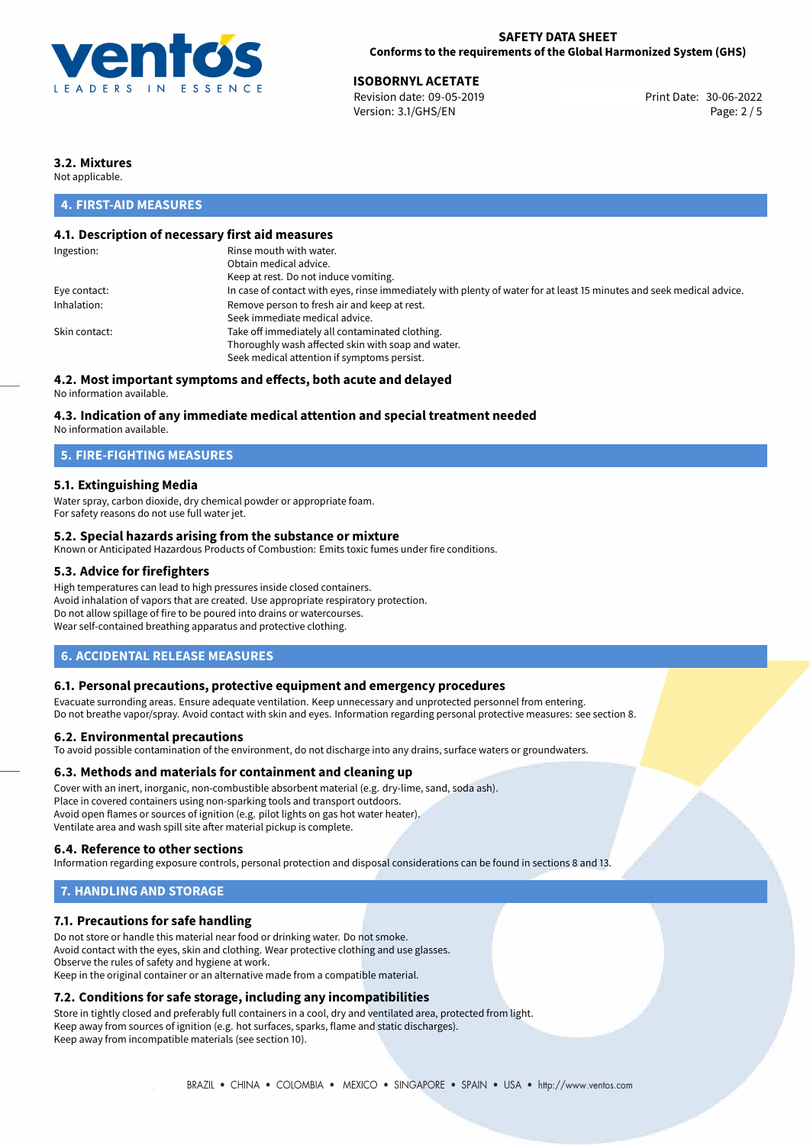

## **SAFETY DATA SHEET Conforms to the requirements of the Global Harmonized System (GHS)**

30-06-2022 **ISOBORNYL ACETATE** Revision date: 09-05-2019 Print Date: Version: 3.1/GHS/EN Page: 2 / 5

# **3.2. Mixtures**

Not applicable.

# **4. FIRST-AID MEASURES**

# **4.1. Description of necessary first aid measures**

| Ingestion:    | Rinse mouth with water.                                                                                               |
|---------------|-----------------------------------------------------------------------------------------------------------------------|
|               | Obtain medical advice.                                                                                                |
|               | Keep at rest. Do not induce vomiting.                                                                                 |
| Eye contact:  | In case of contact with eyes, rinse immediately with plenty of water for at least 15 minutes and seek medical advice. |
| Inhalation:   | Remove person to fresh air and keep at rest.                                                                          |
|               | Seek immediate medical advice.                                                                                        |
| Skin contact: | Take off immediately all contaminated clothing.                                                                       |
|               | Thoroughly wash affected skin with soap and water.                                                                    |
|               | Seek medical attention if symptoms persist.                                                                           |
|               |                                                                                                                       |

# **4.2. Most important symptoms and effects, both acute and delayed**

No information available.

## **4.3. Indication of any immediate medical attention and special treatment needed**

No information available.

# **5. FIRE-FIGHTING MEASURES**

## **5.1. Extinguishing Media**

Water spray, carbon dioxide, dry chemical powder or appropriate foam. For safety reasons do not use full water jet.

## **5.2. Special hazards arising from the substance or mixture**

Known or Anticipated Hazardous Products of Combustion: Emits toxic fumes under fire conditions.

## **5.3. Advice for firefighters**

High temperatures can lead to high pressures inside closed containers. Avoid inhalation of vapors that are created. Use appropriate respiratory protection. Do not allow spillage of fire to be poured into drains or watercourses. Wear self-contained breathing apparatus and protective clothing.

## **6. ACCIDENTAL RELEASE MEASURES**

### **6.1. Personal precautions, protective equipment and emergency procedures**

Evacuate surronding areas. Ensure adequate ventilation. Keep unnecessary and unprotected personnel from entering. Do not breathe vapor/spray. Avoid contact with skin and eyes. Information regarding personal protective measures: see section 8.

#### **6.2. Environmental precautions**

To avoid possible contamination of the environment, do not discharge into any drains, surface waters or groundwaters.

#### **6.3. Methods and materials for containment and cleaning up**

Cover with an inert, inorganic, non-combustible absorbent material (e.g. dry-lime, sand, soda ash). Place in covered containers using non-sparking tools and transport outdoors. Avoid open flames or sources of ignition (e.g. pilot lights on gas hot water heater). Ventilate area and wash spill site after material pickup is complete.

## **6.4. Reference to other sections**

Information regarding exposure controls, personal protection and disposal considerations can be found in sections 8 and 13.

# **7. HANDLING AND STORAGE**

## **7.1. Precautions for safe handling**

Do not store or handle this material near food or drinking water. Do not smoke. Avoid contact with the eyes, skin and clothing. Wear protective clothing and use glasses. Observe the rules of safety and hygiene at work. Keep in the original container or an alternative made from a compatible material.

# **7.2. Conditions for safe storage, including any incompatibilities**

Store in tightly closed and preferably full containers in a cool, dry and ventilated area, protected from light. Keep away from sources of ignition (e.g. hot surfaces, sparks, flame and static discharges). Keep away from incompatible materials (see section 10).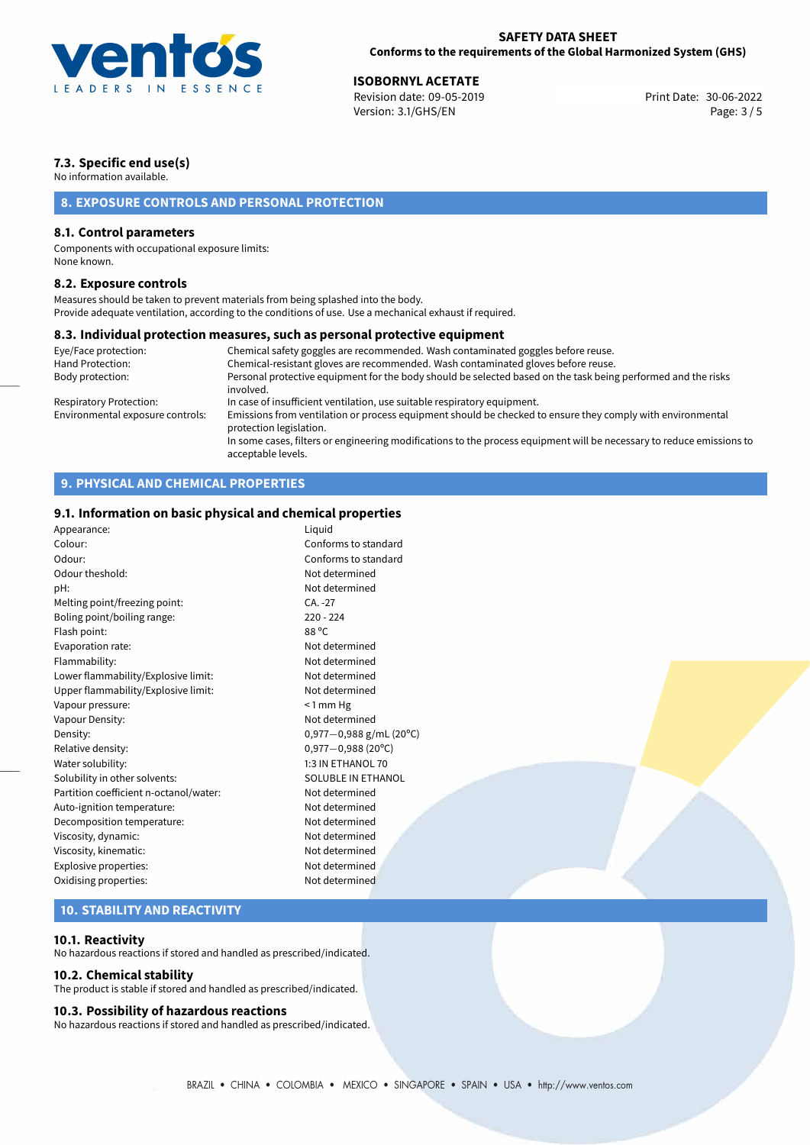

30-06-2022 **ISOBORNYL ACETATE** Revision date: 09-05-2019 Print Date: Version: 3.1/GHS/EN Page: 3 / 5

# **7.3. Specific end use(s)**

No information available.

# **8. EXPOSURE CONTROLS AND PERSONAL PROTECTION**

## **8.1. Control parameters**

Components with occupational exposure limits: None known.

## **8.2. Exposure controls**

Measures should be taken to prevent materials from being splashed into the body. Provide adequate ventilation, according to the conditions of use. Use a mechanical exhaust if required.

### **8.3. Individual protection measures, such as personal protective equipment**

| Eye/Face protection:             | Chemical safety goggles are recommended. Wash contaminated goggles before reuse.                                                            |
|----------------------------------|---------------------------------------------------------------------------------------------------------------------------------------------|
| Hand Protection:                 | Chemical-resistant gloves are recommended. Wash contaminated gloves before reuse.                                                           |
| Body protection:                 | Personal protective equipment for the body should be selected based on the task being performed and the risks<br>involved.                  |
| Respiratory Protection:          | In case of insufficient ventilation, use suitable respiratory equipment.                                                                    |
| Environmental exposure controls: | Emissions from ventilation or process equipment should be checked to ensure they comply with environmental<br>protection legislation.       |
|                                  | In some cases, filters or engineering modifications to the process equipment will be necessary to reduce emissions to<br>acceptable levels. |

# **9. PHYSICAL AND CHEMICAL PROPERTIES**

# **9.1. Information on basic physical and chemical properties**

| r,                                     |                             |  |
|----------------------------------------|-----------------------------|--|
| Appearance:                            | Liquid                      |  |
| Colour:                                | Conforms to standard        |  |
| Odour:                                 | Conforms to standard        |  |
| Odour theshold:                        | Not determined              |  |
| pH:                                    | Not determined              |  |
| Melting point/freezing point:          | $CA. -27$                   |  |
| Boling point/boiling range:            | $220 - 224$                 |  |
| Flash point:                           | 88 °C                       |  |
| Evaporation rate:                      | Not determined              |  |
| Flammability:                          | Not determined              |  |
| Lower flammability/Explosive limit:    | Not determined              |  |
| Upper flammability/Explosive limit:    | Not determined              |  |
| Vapour pressure:                       | $< 1$ mm Hg                 |  |
| Vapour Density:                        | Not determined              |  |
| Density:                               | 0,977 $-0$ ,988 g/mL (20°C) |  |
| Relative density:                      | $0,977 - 0,988$ (20°C)      |  |
| Water solubility:                      | 1:3 IN ETHANOL 70           |  |
| Solubility in other solvents:          | <b>SOLUBLE IN ETHANOL</b>   |  |
| Partition coefficient n-octanol/water: | Not determined              |  |
| Auto-ignition temperature:             | Not determined              |  |
| Decomposition temperature:             | Not determined              |  |
| Viscosity, dynamic:                    | Not determined              |  |
| Viscosity, kinematic:                  | Not determined              |  |
| Explosive properties:                  | Not determined              |  |
| Oxidising properties:                  | Not determined              |  |
|                                        |                             |  |
|                                        |                             |  |

## **10. STABILITY AND REACTIVITY**

### **10.1. Reactivity**

No hazardous reactions if stored and handled as prescribed/indicated.

## **10.2. Chemical stability**

The product is stable if stored and handled as prescribed/indicated.

#### **10.3. Possibility of hazardous reactions**

No hazardous reactions if stored and handled as prescribed/indicated.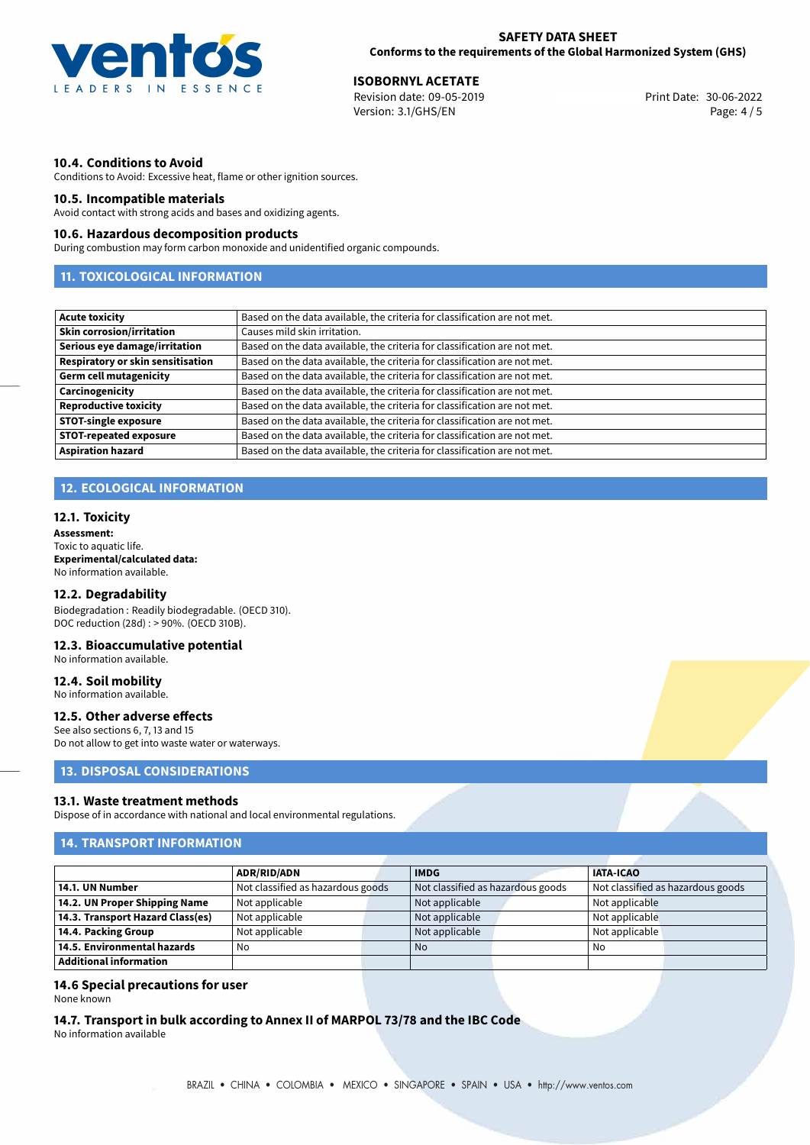

30-06-2022 **ISOBORNYL ACETATE** Revision date: 09-05-2019 Print Date: Version: 3.1/GHS/EN Page: 4 / 5

## **10.4. Conditions to Avoid**

Conditions to Avoid: Excessive heat, flame or other ignition sources.

## **10.5. Incompatible materials**

Avoid contact with strong acids and bases and oxidizing agents.

## **10.6. Hazardous decomposition products**

During combustion may form carbon monoxide and unidentified organic compounds.

# **11. TOXICOLOGICAL INFORMATION**

| <b>Acute toxicity</b>                    | Based on the data available, the criteria for classification are not met. |
|------------------------------------------|---------------------------------------------------------------------------|
| <b>Skin corrosion/irritation</b>         | Causes mild skin irritation.                                              |
| Serious eye damage/irritation            | Based on the data available, the criteria for classification are not met. |
| <b>Respiratory or skin sensitisation</b> | Based on the data available, the criteria for classification are not met. |
| <b>Germ cell mutagenicity</b>            | Based on the data available, the criteria for classification are not met. |
| Carcinogenicity                          | Based on the data available, the criteria for classification are not met. |
| <b>Reproductive toxicity</b>             | Based on the data available, the criteria for classification are not met. |
| <b>STOT-single exposure</b>              | Based on the data available, the criteria for classification are not met. |
| <b>STOT-repeated exposure</b>            | Based on the data available, the criteria for classification are not met. |
| <b>Aspiration hazard</b>                 | Based on the data available, the criteria for classification are not met. |

# **12. ECOLOGICAL INFORMATION**

#### **12.1. Toxicity**

**Assessment:** Toxic to aquatic life. **Experimental/calculated data:** No information available.

#### **12.2. Degradability**

Biodegradation : Readily biodegradable. (OECD 310). DOC reduction (28d) : > 90%. (OECD 310B).

## **12.3. Bioaccumulative potential**

No information available.

#### **12.4. Soil mobility**

No information available.

## **12.5. Other adverse effects**

See also sections 6, 7, 13 and 15 Do not allow to get into waste water or waterways.

# **13. DISPOSAL CONSIDERATIONS**

## **13.1. Waste treatment methods**

Dispose of in accordance with national and local environmental regulations.

# **14. TRANSPORT INFORMATION**

|                                  | <b>ADR/RID/ADN</b>                |  | <b>IMDG</b>                       |  | <b>IATA-ICAO</b>                  |  |
|----------------------------------|-----------------------------------|--|-----------------------------------|--|-----------------------------------|--|
| 14.1. UN Number                  | Not classified as hazardous goods |  | Not classified as hazardous goods |  | Not classified as hazardous goods |  |
| 14.2. UN Proper Shipping Name    | Not applicable                    |  | Not applicable                    |  | Not applicable                    |  |
| 14.3. Transport Hazard Class(es) | Not applicable                    |  | Not applicable                    |  | Not applicable                    |  |
| 14.4. Packing Group              | Not applicable                    |  | Not applicable                    |  | Not applicable                    |  |
| 14.5. Environmental hazards      | No                                |  | No                                |  | No                                |  |
| <b>Additional information</b>    |                                   |  |                                   |  |                                   |  |

## **14.6 Special precautions for user**

None known

## **14.7. Transport in bulk according to Annex II of MARPOL 73/78 and the IBC Code**

No information available